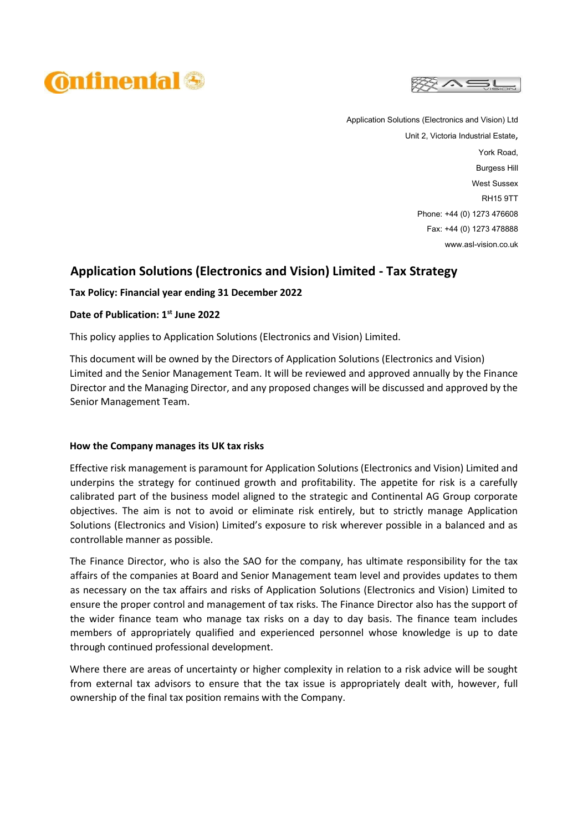



Application Solutions (Electronics and Vision) Ltd Unit 2, Victoria Industrial Estate, York Road, Burgess Hill West Sussex RH15 9TT Phone: +44 (0) 1273 476608 Fax: +44 (0) 1273 478888 www.asl-vision.co.uk

# **Application Solutions (Electronics and Vision) Limited - Tax Strategy**

# **Tax Policy: Financial year ending 31 December 2022**

# **Date of Publication: 1 st June 2022**

This policy applies to Application Solutions (Electronics and Vision) Limited.

This document will be owned by the Directors of Application Solutions (Electronics and Vision) Limited and the Senior Management Team. It will be reviewed and approved annually by the Finance Director and the Managing Director, and any proposed changes will be discussed and approved by the Senior Management Team.

#### **How the Company manages its UK tax risks**

Effective risk management is paramount for Application Solutions (Electronics and Vision) Limited and underpins the strategy for continued growth and profitability. The appetite for risk is a carefully calibrated part of the business model aligned to the strategic and Continental AG Group corporate objectives. The aim is not to avoid or eliminate risk entirely, but to strictly manage Application Solutions (Electronics and Vision) Limited's exposure to risk wherever possible in a balanced and as controllable manner as possible.

The Finance Director, who is also the SAO for the company, has ultimate responsibility for the tax affairs of the companies at Board and Senior Management team level and provides updates to them as necessary on the tax affairs and risks of Application Solutions (Electronics and Vision) Limited to ensure the proper control and management of tax risks. The Finance Director also has the support of the wider finance team who manage tax risks on a day to day basis. The finance team includes members of appropriately qualified and experienced personnel whose knowledge is up to date through continued professional development.

Where there are areas of uncertainty or higher complexity in relation to a risk advice will be sought from external tax advisors to ensure that the tax issue is appropriately dealt with, however, full ownership of the final tax position remains with the Company.